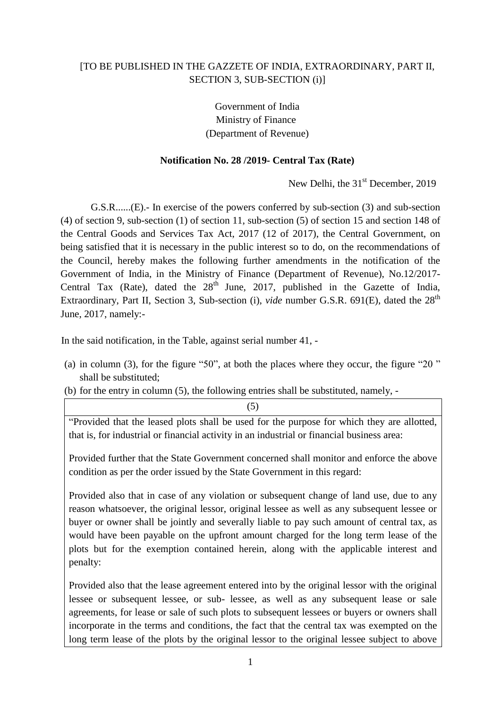## [TO BE PUBLISHED IN THE GAZZETE OF INDIA, EXTRAORDINARY, PART II, SECTION 3, SUB-SECTION (i)]

Government of India Ministry of Finance (Department of Revenue)

## **Notification No. 28 /2019- Central Tax (Rate)**

New Delhi, the 31<sup>st</sup> December, 2019

G.S.R......(E).- In exercise of the powers conferred by sub-section (3) and sub-section (4) of section 9, sub-section (1) of section 11, sub-section (5) of section 15 and section 148 of the Central Goods and Services Tax Act, 2017 (12 of 2017), the Central Government, on being satisfied that it is necessary in the public interest so to do, on the recommendations of the Council, hereby makes the following further amendments in the notification of the Government of India, in the Ministry of Finance (Department of Revenue), No.12/2017- Central Tax (Rate), dated the  $28<sup>th</sup>$  June, 2017, published in the Gazette of India, Extraordinary, Part II, Section 3, Sub-section (i), *vide* number G.S.R. 691(E), dated the 28<sup>th</sup> June, 2017, namely:-

In the said notification, in the Table, against serial number 41, -

- (a) in column (3), for the figure "50", at both the places where they occur, the figure "20 " shall be substituted;
- (b) for the entry in column (5), the following entries shall be substituted, namely, -

"Provided that the leased plots shall be used for the purpose for which they are allotted, that is, for industrial or financial activity in an industrial or financial business area:

(5)

Provided further that the State Government concerned shall monitor and enforce the above condition as per the order issued by the State Government in this regard:

Provided also that in case of any violation or subsequent change of land use, due to any reason whatsoever, the original lessor, original lessee as well as any subsequent lessee or buyer or owner shall be jointly and severally liable to pay such amount of central tax, as would have been payable on the upfront amount charged for the long term lease of the plots but for the exemption contained herein, along with the applicable interest and penalty:

Provided also that the lease agreement entered into by the original lessor with the original lessee or subsequent lessee, or sub- lessee, as well as any subsequent lease or sale agreements, for lease or sale of such plots to subsequent lessees or buyers or owners shall incorporate in the terms and conditions, the fact that the central tax was exempted on the long term lease of the plots by the original lessor to the original lessee subject to above